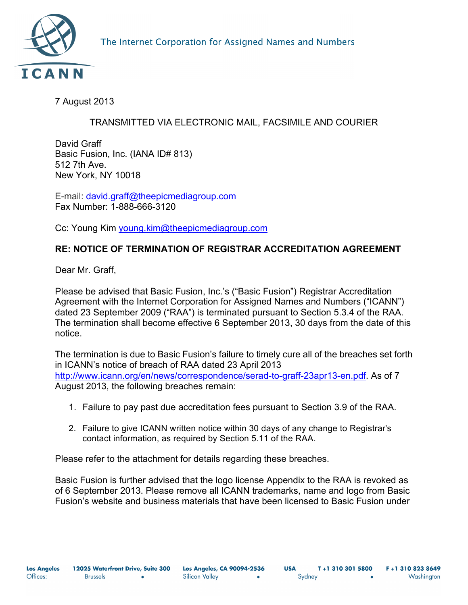

7 August 2013

## TRANSMITTED VIA ELECTRONIC MAIL, FACSIMILE AND COURIER

David Graff Basic Fusion, Inc. (IANA ID# 813) 512 7th Ave. New York, NY 10018

E-mail: david.graff@theepicmediagroup.com Fax Number: 1-888-666-3120

Cc: Young Kim young.kim@theepicmediagroup.com

## **RE: NOTICE OF TERMINATION OF REGISTRAR ACCREDITATION AGREEMENT**

Dear Mr. Graff,

Please be advised that Basic Fusion, Inc.'s ("Basic Fusion") Registrar Accreditation Agreement with the Internet Corporation for Assigned Names and Numbers ("ICANN") dated 23 September 2009 ("RAA") is terminated pursuant to Section 5.3.4 of the RAA. The termination shall become effective 6 September 2013, 30 days from the date of this notice.

The termination is due to Basic Fusion's failure to timely cure all of the breaches set forth in ICANN's notice of breach of RAA dated 23 April 2013 http://www.icann.org/en/news/correspondence/serad-to-graff-23apr13-en.pdf. As of 7 August 2013, the following breaches remain:

- 1. Failure to pay past due accreditation fees pursuant to Section 3.9 of the RAA.
- 2. Failure to give ICANN written notice within 30 days of any change to Registrar's contact information, as required by Section 5.11 of the RAA.

Please refer to the attachment for details regarding these breaches.

Basic Fusion is further advised that the logo license Appendix to the RAA is revoked as of 6 September 2013. Please remove all ICANN trademarks, name and logo from Basic Fusion's website and business materials that have been licensed to Basic Fusion under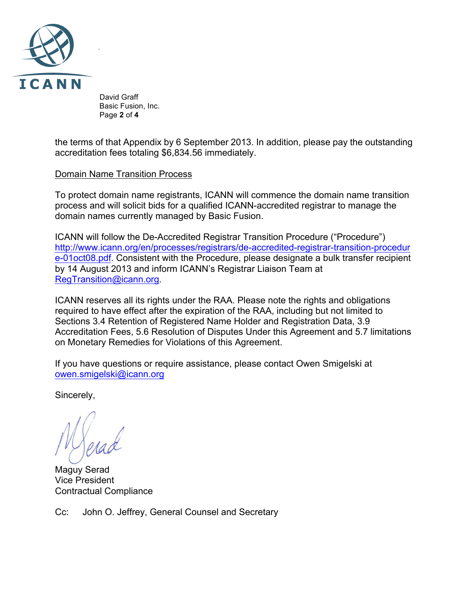

 David Graff Basic Fusion, Inc. Page **2** of **4**

the terms of that Appendix by 6 September 2013. In addition, please pay the outstanding accreditation fees totaling \$6,834.56 immediately.

## Domain Name Transition Process

To protect domain name registrants, ICANN will commence the domain name transition process and will solicit bids for a qualified ICANN-accredited registrar to manage the domain names currently managed by Basic Fusion.

ICANN will follow the De-Accredited Registrar Transition Procedure ("Procedure") http://www.icann.org/en/processes/registrars/de-accredited-registrar-transition-procedur e-01oct08.pdf. Consistent with the Procedure, please designate a bulk transfer recipient by 14 August 2013 and inform ICANN's Registrar Liaison Team at RegTransition@icann.org.

ICANN reserves all its rights under the RAA. Please note the rights and obligations required to have effect after the expiration of the RAA, including but not limited to Sections 3.4 Retention of Registered Name Holder and Registration Data, 3.9 Accreditation Fees, 5.6 Resolution of Disputes Under this Agreement and 5.7 limitations on Monetary Remedies for Violations of this Agreement.

If you have questions or require assistance, please contact Owen Smigelski at owen.smigelski@icann.org

Sincerely,

Maguy Serad Vice President Contractual Compliance

Cc: John O. Jeffrey, General Counsel and Secretary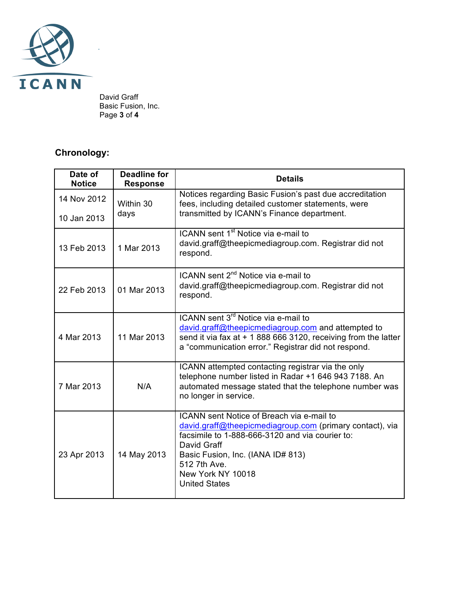

 David Graff Basic Fusion, Inc. Page **3** of **4**

## **Chronology:**

| Date of<br><b>Notice</b>   | <b>Deadline for</b><br><b>Response</b> | <b>Details</b>                                                                                                                                                                                                                                                            |
|----------------------------|----------------------------------------|---------------------------------------------------------------------------------------------------------------------------------------------------------------------------------------------------------------------------------------------------------------------------|
| 14 Nov 2012<br>10 Jan 2013 | Within 30<br>days                      | Notices regarding Basic Fusion's past due accreditation<br>fees, including detailed customer statements, were<br>transmitted by ICANN's Finance department.                                                                                                               |
|                            |                                        |                                                                                                                                                                                                                                                                           |
| 13 Feb 2013                | 1 Mar 2013                             | ICANN sent 1 <sup>st</sup> Notice via e-mail to<br>david.graff@theepicmediagroup.com. Registrar did not<br>respond.                                                                                                                                                       |
| 22 Feb 2013                | 01 Mar 2013                            | ICANN sent 2 <sup>nd</sup> Notice via e-mail to<br>david.graff@theepicmediagroup.com. Registrar did not<br>respond.                                                                                                                                                       |
| 4 Mar 2013                 | 11 Mar 2013                            | ICANN sent 3 <sup>rd</sup> Notice via e-mail to<br>david.graff@theepicmediagroup.com and attempted to<br>send it via fax at $+$ 1 888 666 3120, receiving from the latter<br>a "communication error." Registrar did not respond.                                          |
| 7 Mar 2013                 | N/A                                    | ICANN attempted contacting registrar via the only<br>telephone number listed in Radar +1 646 943 7188. An<br>automated message stated that the telephone number was<br>no longer in service.                                                                              |
| 23 Apr 2013                | 14 May 2013                            | ICANN sent Notice of Breach via e-mail to<br>david.graff@theepicmediagroup.com (primary contact), via<br>facsimile to 1-888-666-3120 and via courier to:<br>David Graff<br>Basic Fusion, Inc. (IANA ID# 813)<br>512 7th Ave.<br>New York NY 10018<br><b>United States</b> |